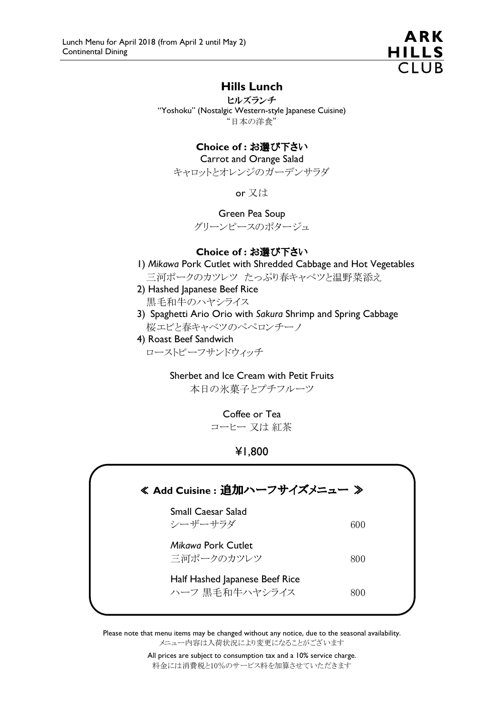

# Hills Lunch

ヒルズランチ "Yoshoku" (Nostalgic Western-style Japanese Cuisine) "日本の洋食"

## Choice of : お選び下さい

Carrot and Orange Salad

キャロットとオレンジのガーデンサラダ

or 又は

Green Pea Soup

グリーンピースのポタージュ

#### Choice of : お選び下さい

1) Mikawa Pork Cutlet with Shredded Cabbage and Hot Vegetables

三河ポークのカツレツ たっぷり春キャベツと温野菜添え

- 2) Hashed Japanese Beef Rice 黒毛和牛のハヤシライス
- 3) Spaghetti Ario Orio with Sakura Shrimp and Spring Cabbage 桜エビと春キャベツのペペロンチーノ
- 4) Roast Beef Sandwich ローストビーフサンドウィッチ

## Sherbet and Ice Cream with Petit Fruits

本日の氷菓子とプチフルーツ

Coffee or Tea

コーヒー 又は 紅茶

¥1,800



Please note that menu items may be changed without any notice, due to the seasonal availability. メニュー内容は入荷状況により変更になることがございます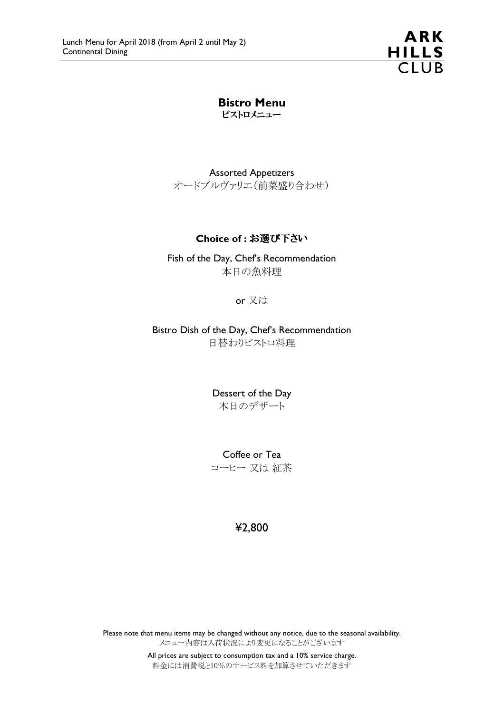**ARK** HILLS<br>CLUB

Bistro Menu ビストロメニュー

Assorted Appetizers オードブルヴァリエ(前菜盛り合わせ)

## Choice of : お選び下さい

Fish of the Day, Chef's Recommendation 本日の魚料理

or 又は

Bistro Dish of the Day, Chef's Recommendation 日替わりビストロ料理

> Dessert of the Day 本日のデザート

> Coffee or Tea コーヒー 又は 紅茶

> > ¥2,800

Please note that menu items may be changed without any notice, due to the seasonal availability. メニュー内容は入荷状況により変更になることがございます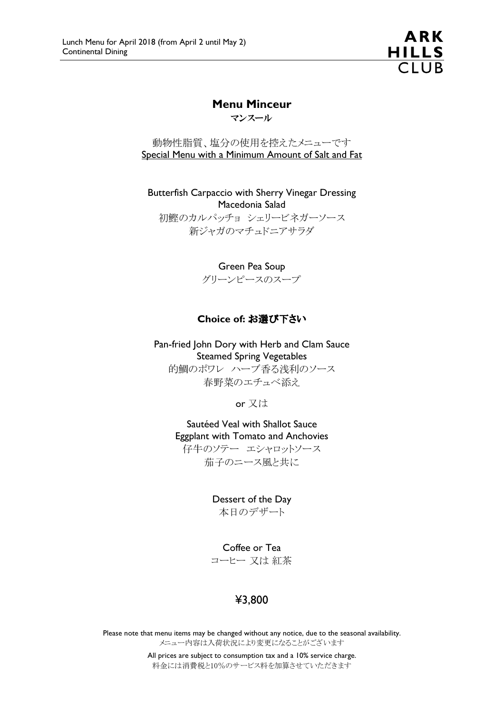ARK HILLS<br>CLUB

## Menu Minceur

マンスール

動物性脂質、塩分の使用を控えたメニューです Special Menu with a Minimum Amount of Salt and Fat

Butterfish Carpaccio with Sherry Vinegar Dressing Macedonia Salad 初鰹のカルパッチョ シェリービネガーソース 新ジャガのマチュドニアサラダ

Green Pea Soup

グリーンピースのスープ

## Choice of: お選び下さい

Pan-fried John Dory with Herb and Clam Sauce Steamed Spring Vegetables 的鯛のポワレ ハーブ香る浅利のソース

春野菜のエチュベ添え

or 又は

Sautéed Veal with Shallot Sauce Eggplant with Tomato and Anchovies 仔牛のソテー エシャロットソース 茄子のニース風と共に

> Dessert of the Day 本日のデザート

> Coffee or Tea コーヒー 又は 紅茶

# ¥3,800

Please note that menu items may be changed without any notice, due to the seasonal availability. メニュー内容は入荷状況により変更になることがございます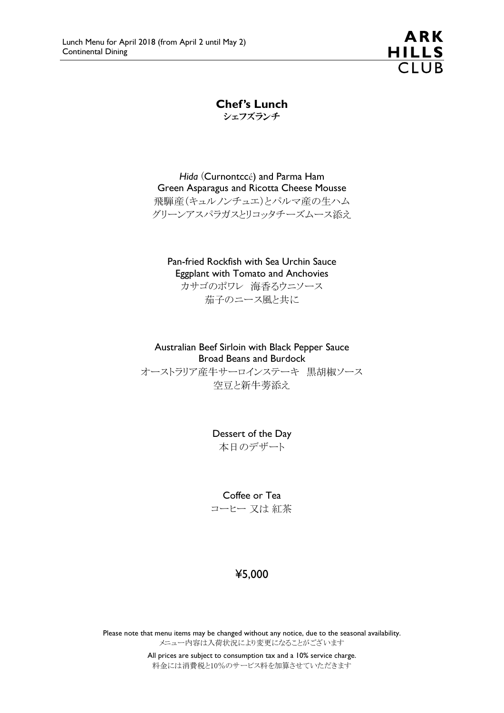ARK HILLS<br>CLUB

Chef's Lunch シェフズランチ

Hida (Curnontccé) and Parma Ham Green Asparagus and Ricotta Cheese Mousse 飛騨産(キュルノンチュエ)とパルマ産の生ハム グリーンアスパラガスとリコッタチーズムース添え

Pan-fried Rockfish with Sea Urchin Sauce Eggplant with Tomato and Anchovies

カサゴのポワレ 海香るウニソース 茄子のニース風と共に

Australian Beef Sirloin with Black Pepper Sauce Broad Beans and Burdock オーストラリア産牛サーロインステーキ 黒胡椒ソース

空豆と新牛蒡添え

Dessert of the Day 本日のデザート

Coffee or Tea

コーヒー 又は 紅茶

# ¥5,000

Please note that menu items may be changed without any notice, due to the seasonal availability. メニュー内容は入荷状況により変更になることがございます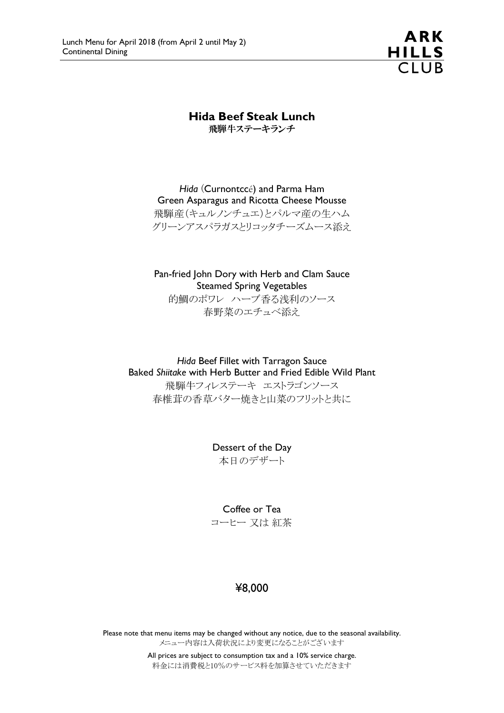

Hida Beef Steak Lunch

飛騨牛ステーキランチ

Hida (Curnontccé) and Parma Ham Green Asparagus and Ricotta Cheese Mousse 飛騨産(キュルノンチュエ)とパルマ産の生ハム グリーンアスパラガスとリコッタチーズムース添え

Pan-fried John Dory with Herb and Clam Sauce Steamed Spring Vegetables

的鯛のポワレ ハーブ香る浅利のソース 春野菜のエチュベ添え

Hida Beef Fillet with Tarragon Sauce Baked Shiitake with Herb Butter and Fried Edible Wild Plant

飛騨牛フィレステーキ エストラゴンソース 春椎茸の香草バター焼きと山菜のフリットと共に

> Dessert of the Day 本日のデザート

> Coffee or Tea コーヒー 又は 紅茶

# ¥8,000

Please note that menu items may be changed without any notice, due to the seasonal availability. メニュー内容は入荷状況により変更になることがございます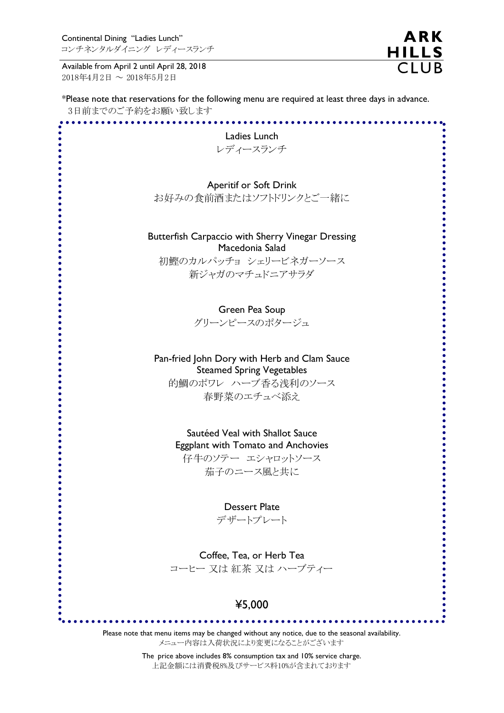Available from April 2 until April 28, 2018 2018年4月2日 ~ 2018年5月2日

\*Please note that reservations for the following menu are required at least three days in advance. 3日前までのご予約をお願い致します

**ARK** 

HILLS<br>CLUB

| Ladies Lunch<br>レディースランチ                                                                                                        |
|---------------------------------------------------------------------------------------------------------------------------------|
| <b>Aperitif or Soft Drink</b><br>お好みの食前酒またはソフトドリンクとご一緒に                                                                         |
| Butterfish Carpaccio with Sherry Vinegar Dressing<br>Macedonia Salad<br>初鰹のカルパッチョ シェリービネガーソース                                   |
| 新ジャガのマチュドニアサラダ<br>Green Pea Soup                                                                                                |
| グリーンピースのポタージュ                                                                                                                   |
| Pan-fried John Dory with Herb and Clam Sauce<br><b>Steamed Spring Vegetables</b><br>的鯛のポワレ ハーブ香る浅利のソース                          |
| 春野菜のエチュベ添え                                                                                                                      |
| Sautéed Veal with Shallot Sauce<br>Eggplant with Tomato and Anchovies<br>仔牛のソテー エシャロットソース<br>茄子のニース風と共に                         |
| <b>Dessert Plate</b>                                                                                                            |
| デザートプレート                                                                                                                        |
| Coffee, Tea, or Herb Tea<br>コーヒー 又は 紅茶 又は ハーブティー                                                                                |
| ¥5,000                                                                                                                          |
| Please note that menu items may be changed without any notice, due to the seasonal availability.<br>メニュー内容は入荷状況により変更になることがございます |

The price above includes 8% consumption tax and 10% service charge. 上記金額には消費税8%及びサービス料10%が含まれております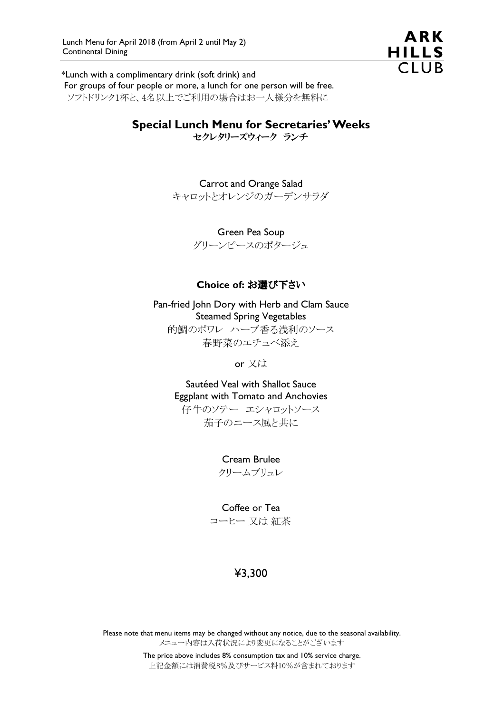

\*Lunch with a complimentary drink (soft drink) and

 For groups of four people or more, a lunch for one person will be free. ソフトドリンク1杯と、4名以上でご利用の場合はお一人様分を無料に

# Special Lunch Menu for Secretaries' Weeks

セクレタリーズウィーク ランチ

Carrot and Orange Salad キャロットとオレンジのガーデンサラダ

> Green Pea Soup グリーンピースのポタージュ

## Choice of: お選び下さい

Pan-fried John Dory with Herb and Clam Sauce Steamed Spring Vegetables 的鯛のポワレ ハーブ香る浅利のソース 春野菜のエチュベ添え

or 又は

Sautéed Veal with Shallot Sauce Eggplant with Tomato and Anchovies 仔牛のソテー エシャロットソース 茄子のニース風と共に

> Cream Brulee クリームブリュレ

Coffee or Tea コーヒー 又は 紅茶

# ¥3,300

Please note that menu items may be changed without any notice, due to the seasonal availability. メニュー内容は入荷状況により変更になることがございます

> The price above includes 8% consumption tax and 10% service charge. 上記金額には消費税8%及びサービス料10%が含まれております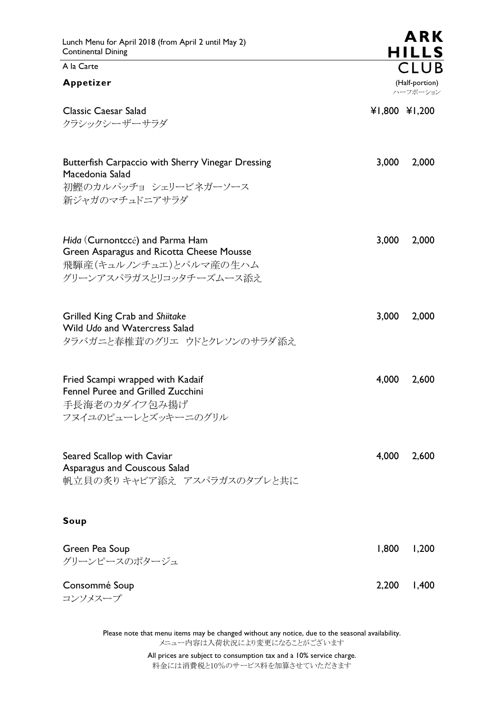## A la Carte

#### Appetizer

|                                                                                                                                   |       | ハーフポーション      |
|-----------------------------------------------------------------------------------------------------------------------------------|-------|---------------|
| <b>Classic Caesar Salad</b><br>クラシックシーザーサラダ                                                                                       |       | ¥1,800 ¥1,200 |
| Butterfish Carpaccio with Sherry Vinegar Dressing<br>Macedonia Salad<br>初鰹のカルパッチョ シェリービネガーソース<br>新ジャガのマチュドニアサラダ                   | 3,000 | 2,000         |
| Hida (Curnontccé) and Parma Ham<br>Green Asparagus and Ricotta Cheese Mousse<br>飛騨産(キュルノンチュエ)とパルマ産の生ハム<br>グリーンアスパラガスとリコッタチーズムース添え | 3,000 | 2,000         |
| Grilled King Crab and Shiitake<br>Wild Udo and Watercress Salad<br>タラバガニと春椎茸のグリエ ウドとクレソンのサラダ添え                                    | 3,000 | 2,000         |
| Fried Scampi wrapped with Kadaif<br>Fennel Puree and Grilled Zucchini<br>手長海老のカダイフ包み揚げ<br>フヌイユのピューレとズッキーニのグリル                     | 4,000 | 2,600         |
| Seared Scallop with Caviar<br>Asparagus and Couscous Salad<br>帆立貝の炙りキャビア添え アスパラガスのタブレと共に                                          | 4,000 | 2,600         |
| Soup                                                                                                                              |       |               |
| Green Pea Soup<br>グリーンピースのポタージュ                                                                                                   | 1,800 | 1,200         |

Consommé Soup 2,200 1,400 コンソメスープ

> Please note that menu items may be changed without any notice, due to the seasonal availability. メニュー内容は入荷状況により変更になることがございます